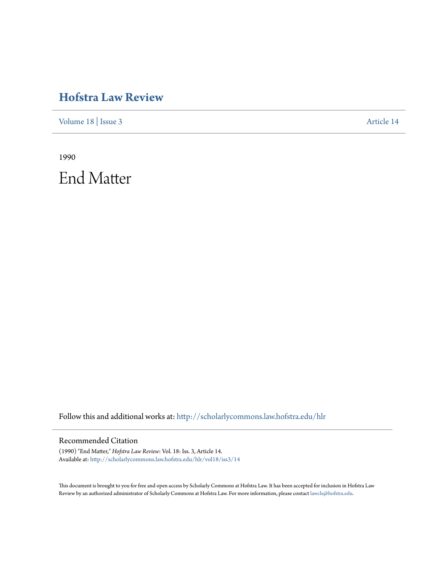## **[Hofstra Law Review](http://scholarlycommons.law.hofstra.edu/hlr?utm_source=scholarlycommons.law.hofstra.edu%2Fhlr%2Fvol18%2Fiss3%2F14&utm_medium=PDF&utm_campaign=PDFCoverPages)**

[Volume 18](http://scholarlycommons.law.hofstra.edu/hlr/vol18?utm_source=scholarlycommons.law.hofstra.edu%2Fhlr%2Fvol18%2Fiss3%2F14&utm_medium=PDF&utm_campaign=PDFCoverPages) | [Issue 3](http://scholarlycommons.law.hofstra.edu/hlr/vol18/iss3?utm_source=scholarlycommons.law.hofstra.edu%2Fhlr%2Fvol18%2Fiss3%2F14&utm_medium=PDF&utm_campaign=PDFCoverPages) [Article 14](http://scholarlycommons.law.hofstra.edu/hlr/vol18/iss3/14?utm_source=scholarlycommons.law.hofstra.edu%2Fhlr%2Fvol18%2Fiss3%2F14&utm_medium=PDF&utm_campaign=PDFCoverPages)

1990 End Matter

Follow this and additional works at: [http://scholarlycommons.law.hofstra.edu/hlr](http://scholarlycommons.law.hofstra.edu/hlr?utm_source=scholarlycommons.law.hofstra.edu%2Fhlr%2Fvol18%2Fiss3%2F14&utm_medium=PDF&utm_campaign=PDFCoverPages)

### Recommended Citation

(1990) "End Matter," *Hofstra Law Review*: Vol. 18: Iss. 3, Article 14. Available at: [http://scholarlycommons.law.hofstra.edu/hlr/vol18/iss3/14](http://scholarlycommons.law.hofstra.edu/hlr/vol18/iss3/14?utm_source=scholarlycommons.law.hofstra.edu%2Fhlr%2Fvol18%2Fiss3%2F14&utm_medium=PDF&utm_campaign=PDFCoverPages)

This document is brought to you for free and open access by Scholarly Commons at Hofstra Law. It has been accepted for inclusion in Hofstra Law Review by an authorized administrator of Scholarly Commons at Hofstra Law. For more information, please contact [lawcls@hofstra.edu](mailto:lawcls@hofstra.edu).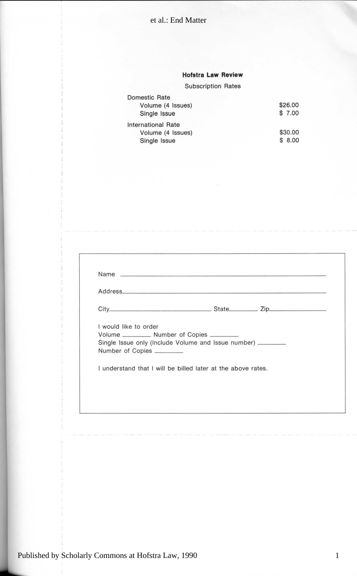#### **Hofstra Law Review**

#### **Subscription Rates**

| Domestic Rate      |         |
|--------------------|---------|
| Volume (4 Issues)  | \$26.00 |
| Single Issue       | \$7.00  |
| International Rate |         |
| Volume (4 Issues)  | \$30.00 |
| Single Issue       | \$8.00  |

|                       | Address                                                        | <u>an an an manach ann an an an an an an an a</u> |  |
|-----------------------|----------------------------------------------------------------|---------------------------------------------------|--|
|                       |                                                                |                                                   |  |
| I would like to order |                                                                |                                                   |  |
|                       | Volume ___________ Number of Copies ________                   |                                                   |  |
|                       | Single Issue only (Include Volume and Issue number) __________ |                                                   |  |
| Number of Copies      |                                                                |                                                   |  |
|                       | I understand that I will be billed later at the above rates.   |                                                   |  |
|                       |                                                                |                                                   |  |

0 \$30.0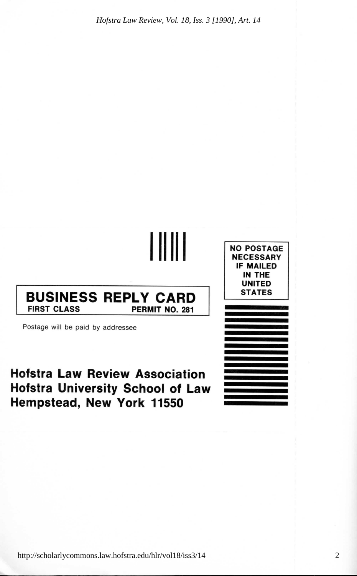*Hofstra Law Review, Vol. 18, Iss. 3 [1990], Art. 14*

**BUSINESS REPLY CARD FIRST CLASS PERMIT NO. 281** Postage will be paid by addressee **NO POSTAGE NECESSARY IF MAILED IN THE UNITED STATES**

. . . .

**Hofstra Law Review Association Hofstra University School of Law Hempstead, New York 11550**

http://scholarlycommons.law.hofstra.edu/hlr/vol18/iss3/14

2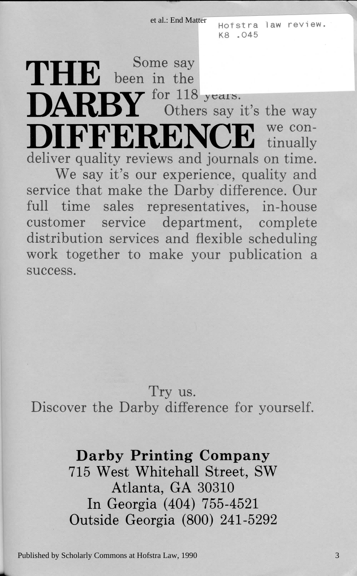et al.: End Matter

Hofstra law review. K8.045

THE been in the DARBY for 118 years. we con-DIFFEREN tinually deliver quality reviews and journals on time. We say it's our experience, quality and service that make the Darby difference. Our full time sales representatives, in-house customer service department, complete distribution services and flexible scheduling work together to make your publication a SUCCeSS.

Try us. Discover the Darby difference for vourself.

## Darby Printing Company

715 West Whitehall Street, SW Atlanta, GA 30310 In Georgia (404) 755-4521 Outside Georgia (800) 241-5292